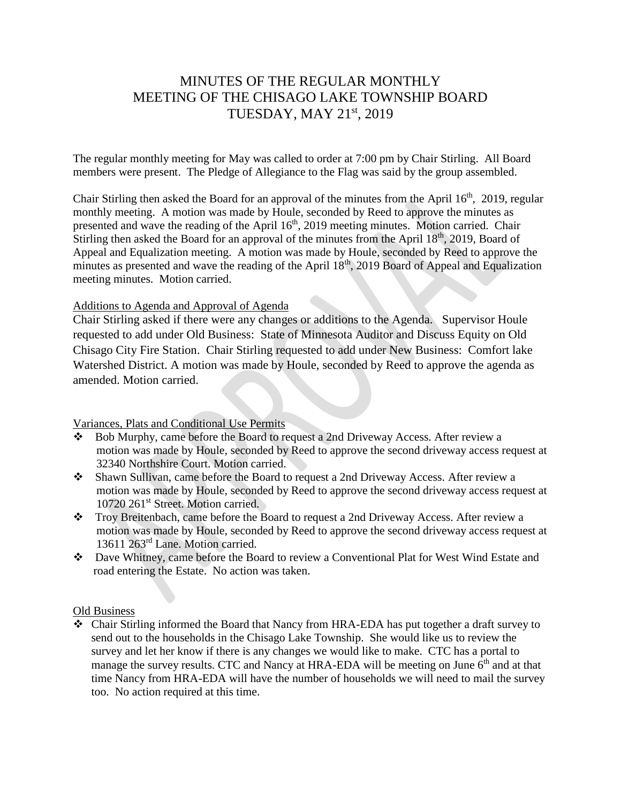# MINUTES OF THE REGULAR MONTHLY MEETING OF THE CHISAGO LAKE TOWNSHIP BOARD TUESDAY, MAY 21st, 2019

The regular monthly meeting for May was called to order at 7:00 pm by Chair Stirling. All Board members were present. The Pledge of Allegiance to the Flag was said by the group assembled.

Chair Stirling then asked the Board for an approval of the minutes from the April  $16<sup>th</sup>$ , 2019, regular monthly meeting. A motion was made by Houle, seconded by Reed to approve the minutes as presented and wave the reading of the April 16<sup>th</sup>, 2019 meeting minutes. Motion carried. Chair Stirling then asked the Board for an approval of the minutes from the April 18<sup>th</sup>, 2019, Board of Appeal and Equalization meeting. A motion was made by Houle, seconded by Reed to approve the minutes as presented and wave the reading of the April  $18<sup>th</sup>$ , 2019 Board of Appeal and Equalization meeting minutes. Motion carried.

# Additions to Agenda and Approval of Agenda

Chair Stirling asked if there were any changes or additions to the Agenda. Supervisor Houle requested to add under Old Business: State of Minnesota Auditor and Discuss Equity on Old Chisago City Fire Station. Chair Stirling requested to add under New Business: Comfort lake Watershed District. A motion was made by Houle, seconded by Reed to approve the agenda as amended. Motion carried.

# Variances, Plats and Conditional Use Permits

- Bob Murphy, came before the Board to request a 2nd Driveway Access. After review a motion was made by Houle, seconded by Reed to approve the second driveway access request at 32340 Northshire Court. Motion carried.
- Shawn Sullivan, came before the Board to request a 2nd Driveway Access. After review a motion was made by Houle, seconded by Reed to approve the second driveway access request at 10720 261<sup>st</sup> Street. Motion carried.
- \* Troy Breitenbach, came before the Board to request a 2nd Driveway Access. After review a motion was made by Houle, seconded by Reed to approve the second driveway access request at 13611 263rd Lane. Motion carried.
- Dave Whitney, came before the Board to review a Conventional Plat for West Wind Estate and road entering the Estate. No action was taken.

# Old Business

 Chair Stirling informed the Board that Nancy from HRA-EDA has put together a draft survey to send out to the households in the Chisago Lake Township. She would like us to review the survey and let her know if there is any changes we would like to make. CTC has a portal to manage the survey results. CTC and Nancy at HRA-EDA will be meeting on June  $6<sup>th</sup>$  and at that time Nancy from HRA-EDA will have the number of households we will need to mail the survey too. No action required at this time.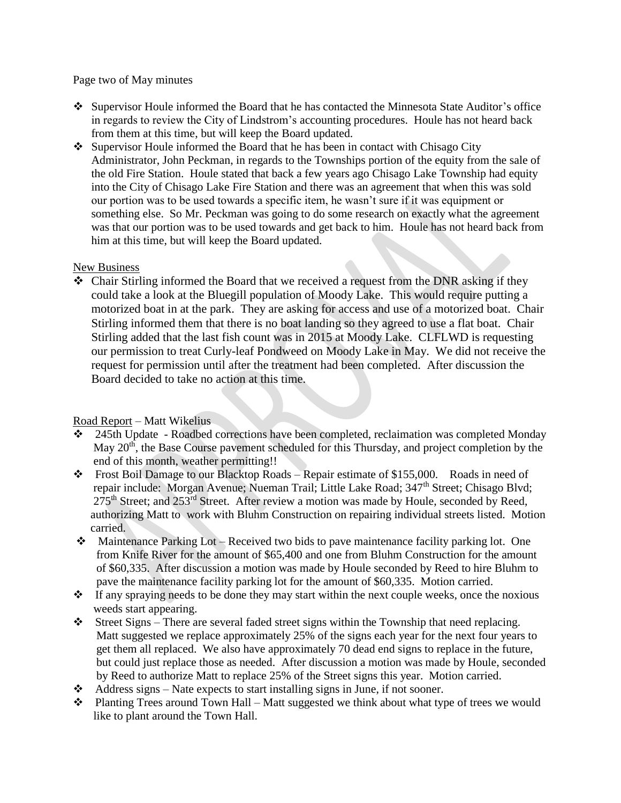Page two of May minutes

- Supervisor Houle informed the Board that he has contacted the Minnesota State Auditor's office in regards to review the City of Lindstrom's accounting procedures. Houle has not heard back from them at this time, but will keep the Board updated.
- $\bullet$  Supervisor Houle informed the Board that he has been in contact with Chisago City Administrator, John Peckman, in regards to the Townships portion of the equity from the sale of the old Fire Station. Houle stated that back a few years ago Chisago Lake Township had equity into the City of Chisago Lake Fire Station and there was an agreement that when this was sold our portion was to be used towards a specific item, he wasn't sure if it was equipment or something else. So Mr. Peckman was going to do some research on exactly what the agreement was that our portion was to be used towards and get back to him. Houle has not heard back from him at this time, but will keep the Board updated.

# New Business

 Chair Stirling informed the Board that we received a request from the DNR asking if they could take a look at the Bluegill population of Moody Lake. This would require putting a motorized boat in at the park. They are asking for access and use of a motorized boat. Chair Stirling informed them that there is no boat landing so they agreed to use a flat boat. Chair Stirling added that the last fish count was in 2015 at Moody Lake. CLFLWD is requesting our permission to treat Curly-leaf Pondweed on Moody Lake in May. We did not receive the request for permission until after the treatment had been completed. After discussion the Board decided to take no action at this time.

# Road Report – Matt Wikelius

- 245th Update Roadbed corrections have been completed, reclaimation was completed Monday May 20<sup>th</sup>, the Base Course pavement scheduled for this Thursday, and project completion by the end of this month, weather permitting!!
- Frost Boil Damage to our Blacktop Roads Repair estimate of \$155,000. Roads in need of repair include: Morgan Avenue; Nueman Trail; Little Lake Road; 347<sup>th</sup> Street; Chisago Blvd;  $275<sup>th</sup>$  Street; and  $253<sup>rd</sup>$  Street. After review a motion was made by Houle, seconded by Reed, authorizing Matt to work with Bluhm Construction on repairing individual streets listed. Motion carried.
- Maintenance Parking Lot Received two bids to pave maintenance facility parking lot. One from Knife River for the amount of \$65,400 and one from Bluhm Construction for the amount of \$60,335. After discussion a motion was made by Houle seconded by Reed to hire Bluhm to pave the maintenance facility parking lot for the amount of \$60,335. Motion carried.
- $\cdot \cdot$  If any spraying needs to be done they may start within the next couple weeks, once the noxious weeds start appearing.
- Street Signs There are several faded street signs within the Township that need replacing. Matt suggested we replace approximately 25% of the signs each year for the next four years to get them all replaced. We also have approximately 70 dead end signs to replace in the future, but could just replace those as needed. After discussion a motion was made by Houle, seconded by Reed to authorize Matt to replace 25% of the Street signs this year. Motion carried.
- $\triangleleft$  Address signs Nate expects to start installing signs in June, if not sooner.
- Planting Trees around Town Hall Matt suggested we think about what type of trees we would like to plant around the Town Hall.